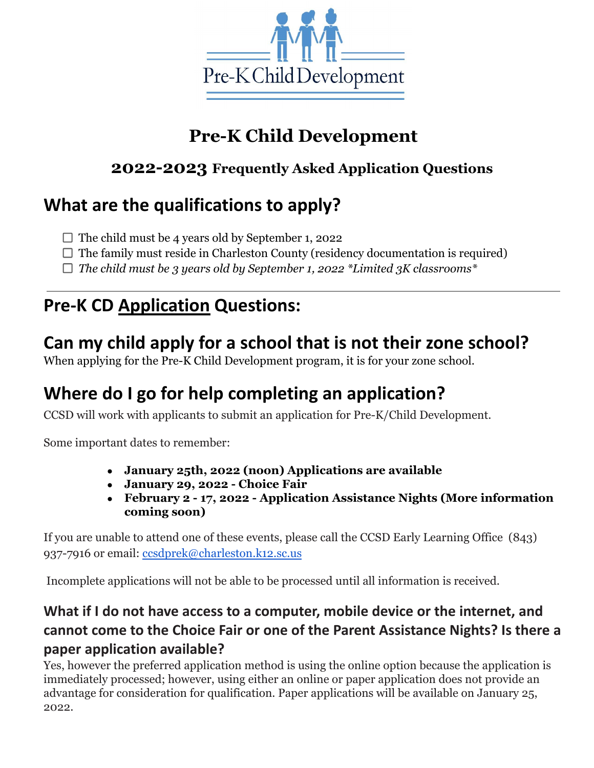

# **Pre-K Child Development**

#### **2022-2023 Frequently Asked Application Questions**

### **What are the qualifications to apply?**

- $\Box$  The child must be 4 years old by September 1, 2022
- $\Box$  The family must reside in Charleston County (residency documentation is required)
- *The child must be 3 years old by September 1, 2022 \*Limited 3K classrooms\**

### **Pre-K CD Application Questions:**

### **Can my child apply for a school that is not their zone school?**

When applying for the Pre-K Child Development program, it is for your zone school.

### **Where do I go for help completing an application?**

CCSD will work with applicants to submit an application for Pre-K/Child Development.

Some important dates to remember:

- **● January 25th, 2022 (noon) Applications are available**
- **● January 29, 2022 Choice Fair**
- **● February 2 17, 2022 Application Assistance Nights (More information coming soon)**

If you are unable to attend one of these events, please call the CCSD Early Learning Office (843) 937-7916 or email: [ccsdprek@charleston.k12.sc.us](mailto:ccsdprek@charleston.k12.sc.us)

Incomplete applications will not be able to be processed until all information is received.

#### **What if I do not have access to a computer, mobile device or the internet, and cannot come to the Choice Fair or one of the Parent Assistance Nights? Is there a paper application available?**

Yes, however the preferred application method is using the online option because the application is immediately processed; however, using either an online or paper application does not provide an advantage for consideration for qualification. Paper applications will be available on January 25, 2022.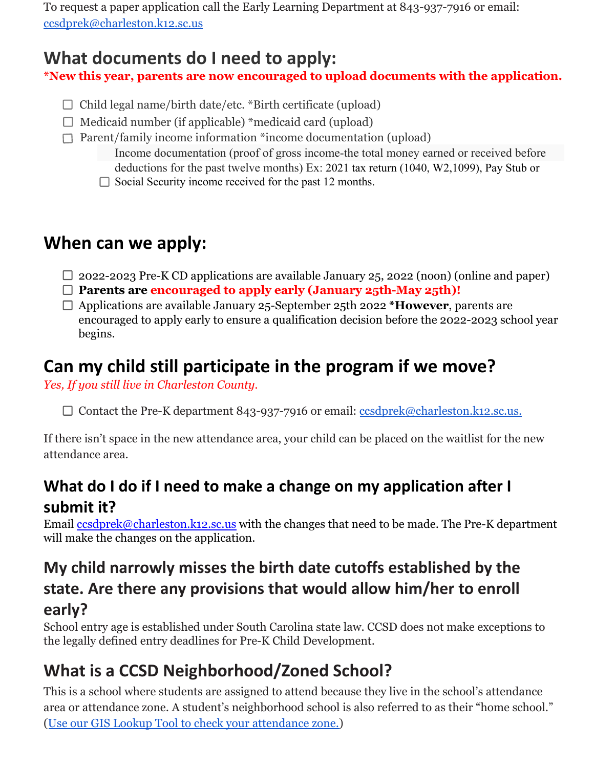To request a paper application call the Early Learning Department at 843-937-7916 or email: [ccsdprek@charleston.k12.sc.us](mailto:ccsdprek@charleston.k12.sc.us)

### **What documents do I need to apply:**

**\*New this year, parents are now encouraged to upload documents with the application.**

- $\Box$  Child legal name/birth date/etc. \*Birth certificate (upload)
- $\Box$  Medicaid number (if applicable) \*medicaid card (upload)
- $\Box$  Parent/family income information \*income documentation (upload)
	- Income documentation (proof of gross income-the total money earned or received before deductions for the past twelve months) Ex: 2021 tax return (1040, W2,1099), Pay Stub or
	- $\Box$  Social Security income received for the past 12 months.

### **When can we apply:**

- $\Box$  2022-2023 Pre-K CD applications are available January 25, 2022 (noon) (online and paper)
- **Parents are encouraged to apply early (January 25th-May 25th)!**
- Applications are available January 25-September 25th 2022 **\*However**, parents are encouraged to apply early to ensure a qualification decision before the 2022-2023 school year begins.

# **Can my child still participate in the program if we move?**

*Yes, If you still live in Charleston County.*

□ Contact the Pre-K department 843-937-7916 or email: [ccsdprek@charleston.k12.sc.us.](mailto:ccsdprek@charleston.k12.sc.us)

If there isn't space in the new attendance area, your child can be placed on the waitlist for the new attendance area.

### **What do I do if I need to make a change on my application after I submit it?**

Email [ccsdprek@charleston.k12.sc.us](mailto:ccsdprek@charleston.k12.sc.us) with the changes that need to be made. The Pre-K department will make the changes on the application.

#### **My child narrowly misses the birth date cutoffs established by the state. Are there any provisions that would allow him/her to enroll early?**

School entry age is established under South Carolina state law. CCSD does not make exceptions to the legally defined entry deadlines for Pre-K Child Development.

# **What is a CCSD Neighborhood/Zoned School?**

This is a school where students are assigned to attend because they live in the school's attendance area or attendance zone. A student's neighborhood school is also referred to as their "home school." ([Use our GIS Lookup Tool to check your attendance zone.\)](https://www.croppermap.com/charleston/)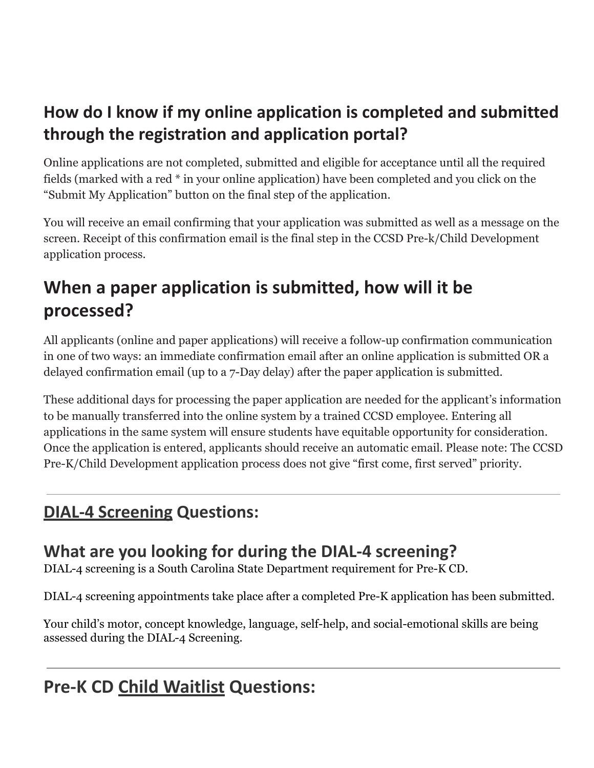### **How do I know if my online application is completed and submitted through the registration and application portal?**

Online applications are not completed, submitted and eligible for acceptance until all the required fields (marked with a red \* in your online application) have been completed and you click on the "Submit My Application" button on the final step of the application.

You will receive an email confirming that your application was submitted as well as a message on the screen. Receipt of this confirmation email is the final step in the CCSD Pre-k/Child Development application process.

# **When a paper application is submitted, how will it be processed?**

All applicants (online and paper applications) will receive a follow-up confirmation communication in one of two ways: an immediate confirmation email after an online application is submitted OR a delayed confirmation email (up to a 7-Day delay) after the paper application is submitted.

These additional days for processing the paper application are needed for the applicant's information to be manually transferred into the online system by a trained CCSD employee. Entering all applications in the same system will ensure students have equitable opportunity for consideration. Once the application is entered, applicants should receive an automatic email. Please note: The CCSD Pre-K/Child Development application process does not give "first come, first served" priority.

### **DIAL-4 Screening Questions:**

### **What are you looking for during the DIAL-4 screening?**

DIAL-4 screening is a South Carolina State Department requirement for Pre-K CD.

DIAL-4 screening appointments take place after a completed Pre-K application has been submitted.

Your child's motor, concept knowledge, language, self-help, and social-emotional skills are being assessed during the DIAL-4 Screening.

# **Pre-K CD Child Waitlist Questions:**